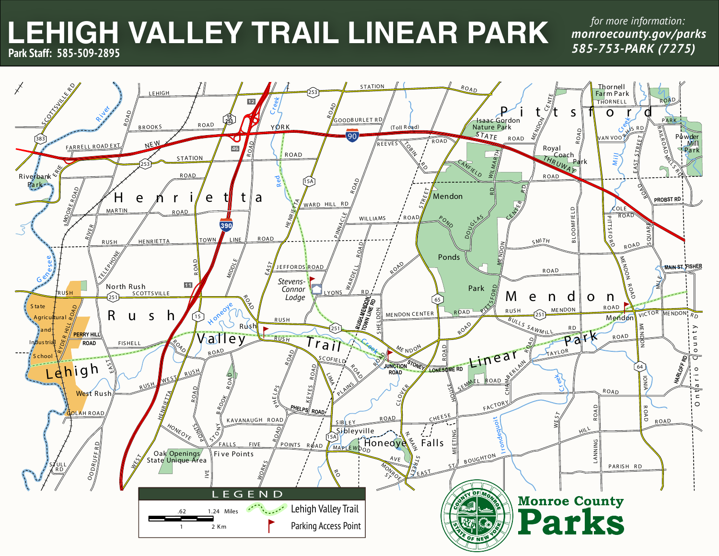# **LEHIGH VALLEY TRAIL LINEAR PARK** *monroecounty.gov/parks* **Park Staff: 585-509-2895**

*585-753-PARK (7275) for more information:*